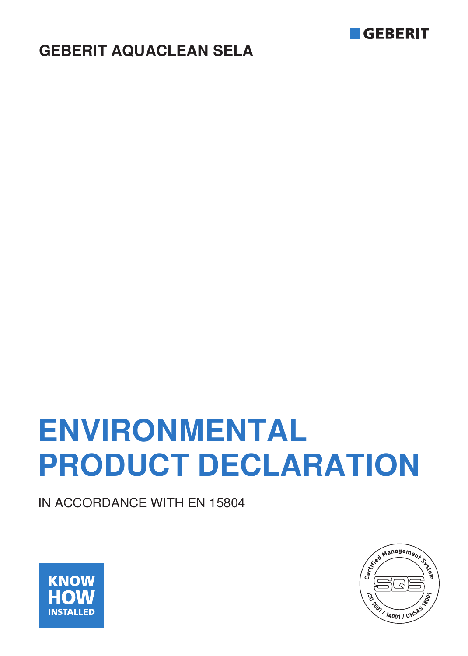

# **GEBERIT AQUACLEAN SELA**

# **ENVIRONMENTAL PRODUCT DECLARATION**

IN ACCORDANCE WITH EN 15804



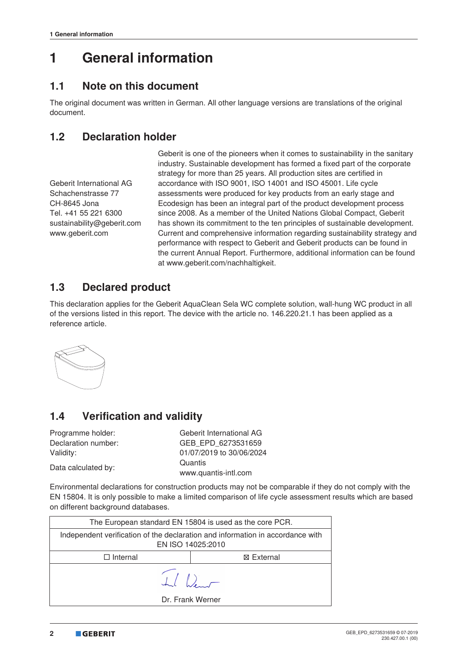# **1 General information**

#### **1.1 Note on this document**

The original document was written in German. All other language versions are translations of the original document.

#### **1.2 Declaration holder**

Geberit International AG Schachenstrasse 77 CH-8645 Jona Tel. +41 55 221 6300 sustainability@geberit.com www.geberit.com

Geberit is one of the pioneers when it comes to sustainability in the sanitary industry. Sustainable development has formed a fixed part of the corporate strategy for more than 25 years. All production sites are certified in accordance with ISO 9001, ISO 14001 and ISO 45001. Life cycle assessments were produced for key products from an early stage and Ecodesign has been an integral part of the product development process since 2008. As a member of the United Nations Global Compact, Geberit has shown its commitment to the ten principles of sustainable development. Current and comprehensive information regarding sustainability strategy and performance with respect to Geberit and Geberit products can be found in the current Annual Report. Furthermore, additional information can be found at www.geberit.com/nachhaltigkeit.

## **1.3 Declared product**

This declaration applies for the Geberit AquaClean Sela WC complete solution, wall-hung WC product in all of the versions listed in this report. The device with the article no. 146.220.21.1 has been applied as a reference article.



# **1.4 Verification and validity**

Programme holder: Geberit International AG Declaration number: GEB\_EPD\_6273531659 Validity: 01/07/2019 to 30/06/2024 Data calculated by: Quantis

www.quantis-intl.com

Environmental declarations for construction products may not be comparable if they do not comply with the EN 15804. It is only possible to make a limited comparison of life cycle assessment results which are based on different background databases.

| The European standard EN 15804 is used as the core PCR.                                             |                  |  |  |  |  |  |  |  |
|-----------------------------------------------------------------------------------------------------|------------------|--|--|--|--|--|--|--|
| Independent verification of the declaration and information in accordance with<br>EN ISO 14025:2010 |                  |  |  |  |  |  |  |  |
| <b>XX</b> External<br>$\Box$ Internal                                                               |                  |  |  |  |  |  |  |  |
| $\begin{array}{c} \begin{array}{c} \begin{array}{c} \end{array} \\ \end{array} \end{array}$         |                  |  |  |  |  |  |  |  |
|                                                                                                     | Dr. Frank Werner |  |  |  |  |  |  |  |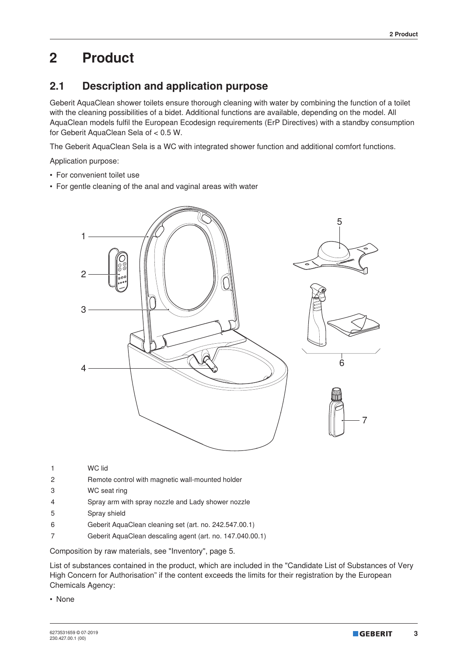# **2 Product**

## **2.1 Description and application purpose**

Geberit AquaClean shower toilets ensure thorough cleaning with water by combining the function of a toilet with the cleaning possibilities of a bidet. Additional functions are available, depending on the model. All AquaClean models fulfil the European Ecodesign requirements (ErP Directives) with a standby consumption for Geberit AquaClean Sela of < 0.5 W.

The Geberit AquaClean Sela is a WC with integrated shower function and additional comfort functions.

Application purpose:

- For convenient toilet use
- For gentle cleaning of the anal and vaginal areas with water



- 1 WC lid
- 2 Remote control with magnetic wall-mounted holder
- 3 WC seat ring
- 4 Spray arm with spray nozzle and Lady shower nozzle
- 5 Spray shield
- 6 Geberit AquaClean cleaning set (art. no. 242.547.00.1)
- 7 Geberit AquaClean descaling agent (art. no. 147.040.00.1)

Composition by raw materials, see "Inventory", page 5.

List of substances contained in the product, which are included in the "Candidate List of Substances of Very High Concern for Authorisation" if the content exceeds the limits for their registration by the European Chemicals Agency:

• None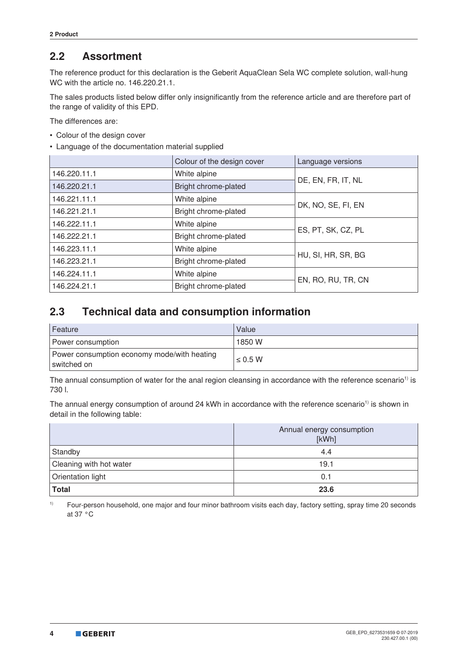#### **2.2 Assortment**

The reference product for this declaration is the Geberit AquaClean Sela WC complete solution, wall-hung WC with the article no. 146.220.21.1.

The sales products listed below differ only insignificantly from the reference article and are therefore part of the range of validity of this EPD.

The differences are:

- Colour of the design cover
- Language of the documentation material supplied

|              | Colour of the design cover | Language versions  |
|--------------|----------------------------|--------------------|
| 146.220.11.1 | White alpine               | DE, EN, FR, IT, NL |
| 146.220.21.1 | Bright chrome-plated       |                    |
| 146.221.11.1 | White alpine               | DK, NO, SE, FI, EN |
| 146.221.21.1 | Bright chrome-plated       |                    |
| 146.222.11.1 | White alpine               | ES, PT, SK, CZ, PL |
| 146.222.21.1 | Bright chrome-plated       |                    |
| 146.223.11.1 | White alpine               | HU, SI, HR, SR, BG |
| 146.223.21.1 | Bright chrome-plated       |                    |
| 146.224.11.1 | White alpine               | EN, RO, RU, TR, CN |
| 146.224.21.1 | Bright chrome-plated       |                    |

#### **2.3 Technical data and consumption information**

| Feature                                                    | Value        |
|------------------------------------------------------------|--------------|
| Power consumption                                          | 1850 W       |
| Power consumption economy mode/with heating<br>switched on | $\leq$ 0.5 W |

The annual consumption of water for the anal region cleansing in accordance with the reference scenario<sup>1)</sup> is 730 l.

The annual energy consumption of around 24 kWh in accordance with the reference scenario<sup>1)</sup> is shown in detail in the following table:

|                         | Annual energy consumption<br>[kWh] |
|-------------------------|------------------------------------|
| Standby                 | 4.4                                |
| Cleaning with hot water | 19.1                               |
| Orientation light       | 0.1                                |
| Total                   | 23.6                               |

<sup>1)</sup> Four-person household, one major and four minor bathroom visits each day, factory setting, spray time 20 seconds at 37 °C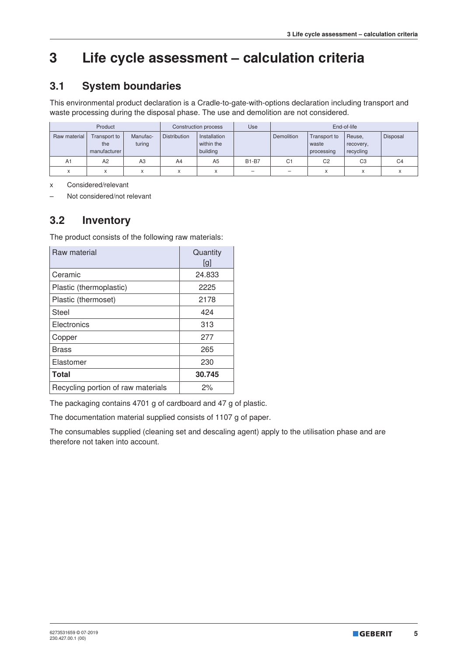# **3 Life cycle assessment – calculation criteria**

## **3.1 System boundaries**

This environmental product declaration is a Cradle-to-gate-with-options declaration including transport and waste processing during the disposal phase. The use and demolition are not considered.

|              | Product<br>Construction process     |                    |                     | Use                                    | End-of-life  |                |                                     |                                  |                |
|--------------|-------------------------------------|--------------------|---------------------|----------------------------------------|--------------|----------------|-------------------------------------|----------------------------------|----------------|
| Raw material | Transport to<br>the<br>manufacturer | Manufac-<br>turing | <b>Distribution</b> | Installation<br>within the<br>building |              | Demolition     | Transport to<br>waste<br>processing | Reuse,<br>recovery,<br>recycling | Disposal       |
| A1           | A <sub>2</sub>                      | A3                 | A4                  | A <sub>5</sub>                         | <b>B1-B7</b> | C <sub>1</sub> | C <sub>2</sub>                      | C <sub>3</sub>                   | C <sub>4</sub> |
| $\checkmark$ | A                                   | ⋏                  | X                   |                                        | -            | -              | X                                   | $\checkmark$                     |                |

x Considered/relevant

– Not considered/not relevant

#### **3.2 Inventory**

The product consists of the following raw materials:

| Raw material                       | Quantity<br>[g] |
|------------------------------------|-----------------|
| Ceramic                            | 24.833          |
| Plastic (thermoplastic)            | 2225            |
| Plastic (thermoset)                | 2178            |
| Steel                              | 424             |
| Electronics                        | 313             |
| Copper                             | 277             |
| <b>Brass</b>                       | 265             |
| Elastomer                          | 230             |
| <b>Total</b>                       | 30.745          |
| Recycling portion of raw materials | 2%              |

The packaging contains 4701 g of cardboard and 47 g of plastic.

The documentation material supplied consists of 1107 g of paper.

The consumables supplied (cleaning set and descaling agent) apply to the utilisation phase and are therefore not taken into account.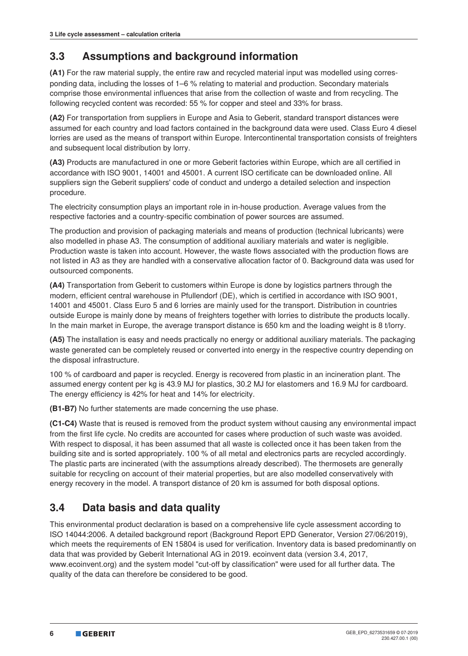## **3.3 Assumptions and background information**

**(A1)** For the raw material supply, the entire raw and recycled material input was modelled using corresponding data, including the losses of 1–6 % relating to material and production. Secondary materials comprise those environmental influences that arise from the collection of waste and from recycling. The following recycled content was recorded: 55 % for copper and steel and 33% for brass.

**(A2)** For transportation from suppliers in Europe and Asia to Geberit, standard transport distances were assumed for each country and load factors contained in the background data were used. Class Euro 4 diesel lorries are used as the means of transport within Europe. Intercontinental transportation consists of freighters and subsequent local distribution by lorry.

**(A3)** Products are manufactured in one or more Geberit factories within Europe, which are all certified in accordance with ISO 9001, 14001 and 45001. A current ISO certificate can be downloaded online. All suppliers sign the Geberit suppliers' code of conduct and undergo a detailed selection and inspection procedure.

The electricity consumption plays an important role in in-house production. Average values from the respective factories and a country-specific combination of power sources are assumed.

The production and provision of packaging materials and means of production (technical lubricants) were also modelled in phase A3. The consumption of additional auxiliary materials and water is negligible. Production waste is taken into account. However, the waste flows associated with the production flows are not listed in A3 as they are handled with a conservative allocation factor of 0. Background data was used for outsourced components.

**(A4)** Transportation from Geberit to customers within Europe is done by logistics partners through the modern, efficient central warehouse in Pfullendorf (DE), which is certified in accordance with ISO 9001, 14001 and 45001. Class Euro 5 and 6 lorries are mainly used for the transport. Distribution in countries outside Europe is mainly done by means of freighters together with lorries to distribute the products locally. In the main market in Europe, the average transport distance is 650 km and the loading weight is 8 t/lorry.

**(A5)** The installation is easy and needs practically no energy or additional auxiliary materials. The packaging waste generated can be completely reused or converted into energy in the respective country depending on the disposal infrastructure.

100 % of cardboard and paper is recycled. Energy is recovered from plastic in an incineration plant. The assumed energy content per kg is 43.9 MJ for plastics, 30.2 MJ for elastomers and 16.9 MJ for cardboard. The energy efficiency is 42% for heat and 14% for electricity.

**(B1-B7)** No further statements are made concerning the use phase.

**(C1-C4)** Waste that is reused is removed from the product system without causing any environmental impact from the first life cycle. No credits are accounted for cases where production of such waste was avoided. With respect to disposal, it has been assumed that all waste is collected once it has been taken from the building site and is sorted appropriately. 100 % of all metal and electronics parts are recycled accordingly. The plastic parts are incinerated (with the assumptions already described). The thermosets are generally suitable for recycling on account of their material properties, but are also modelled conservatively with energy recovery in the model. A transport distance of 20 km is assumed for both disposal options.

# **3.4 Data basis and data quality**

This environmental product declaration is based on a comprehensive life cycle assessment according to ISO 14044:2006. A detailed background report (Background Report EPD Generator, Version 27/06/2019), which meets the requirements of EN 15804 is used for verification. Inventory data is based predominantly on data that was provided by Geberit International AG in 2019. ecoinvent data (version 3.4, 2017, www.ecoinvent.org) and the system model "cut-off by classification" were used for all further data. The quality of the data can therefore be considered to be good.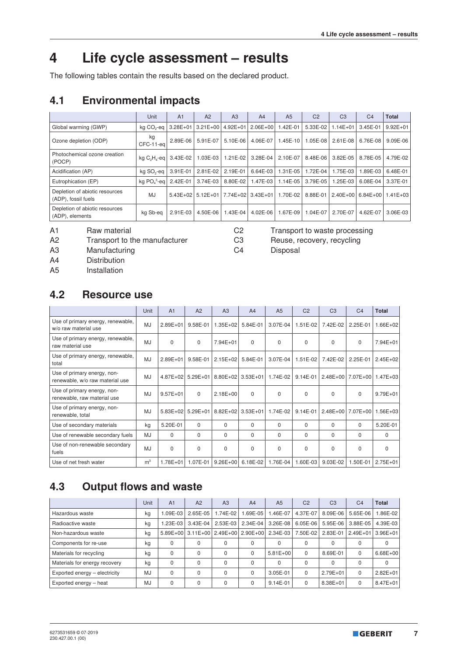# **4 Life cycle assessment – results**

The following tables contain the results based on the declared product.

## **4.1 Environmental impacts**

|                                                       | Unit                                   | A <sub>1</sub> | A <sub>2</sub>      | A <sub>3</sub> | A <sub>4</sub>    | A <sub>5</sub> | C <sub>2</sub> | C <sub>3</sub> | C <sub>4</sub>      | <b>Total</b> |
|-------------------------------------------------------|----------------------------------------|----------------|---------------------|----------------|-------------------|----------------|----------------|----------------|---------------------|--------------|
| Global warming (GWP)                                  | kg CO <sub>2</sub> -eg                 | $3.28E + 01$   | $3.21E + 00$        | $4.92E + 01$   | $2.06E + 00$      | 1.42E-01       | 5.33E-02       | $1.14E + 01$   | 3.45E-01            | $9.92E + 01$ |
| Ozone depletion (ODP)                                 | kg<br>CFC-11-eal                       | 2.89E-06       | 5.91E-07            | 5.10E-06       | 4.06E-07          | $1.45E - 10$   | 1.05E-08       | 2.61E-08       | 6.76E-08            | $9.09E-06$   |
| Photochemical ozone creation<br>(POCP)                | $kq$ C <sub>2</sub> H <sub>4</sub> -eq | $3.43E-02$     | 1.03E-03            | 1.21E-02       | 3.28E-04          | 2.10E-07       | 8.48E-06       | 3.82E-05       | 8.78E-05            | 4.79E-02     |
| Acidification (AP)                                    | kg SO <sub>2</sub> -eg                 | 3.91E-01       | 2.81E-02            | 2.19E-01       | 6.64E-03          | 1.31E-05       | 1.72E-04       | 1.75E-03       | 1.89E-03            | $6.48E - 01$ |
| Eutrophication (EP)                                   | kg PO <sub>4</sub> – eq                | 2.42E-01       | 3.74E-03            | 8.80E-02       | 1.47E-03          | 1.14E-05       | 3.79E-05       | 1.25E-03       | 6.08E-04            | $3.37E-01$   |
| Depletion of abiotic resources<br>(ADP), fossil fuels | MJ                                     |                | $5.43E+02$ 5.12E+01 |                | 7.74E+02 3.43E+01 | 1.70E-02       | 8.88E-01       |                | $2.40E+00$ 6.84E+00 | $1.41E + 03$ |
| Depletion of abiotic resources<br>(ADP), elements     | kg Sb-eg                               | 2.91E-03       | 4.50E-06            | .43E-04        | 4.02E-06          | 1.67E-09       | 1.04E-07       | 2.70E-07       | 4.62E-07            | 3.06E-03     |

A2 Transport to the manufacturer C3 Reuse, recovery, recycling

A1 Raw material C2 Transport to waste processing

A3 Manufacturing C4 Disposal

A4 Distribution

A5 Installation

#### **4.2 Resource use**

|                                                                | Unit           | A <sub>1</sub> | A2           | A3           | A <sub>4</sub> | A <sub>5</sub> | C <sub>2</sub> | C <sub>3</sub> | C <sub>4</sub>             | <b>Total</b> |
|----------------------------------------------------------------|----------------|----------------|--------------|--------------|----------------|----------------|----------------|----------------|----------------------------|--------------|
| Use of primary energy, renewable,<br>w/o raw material use      | <b>MJ</b>      | $2.89E + 01$   | 9.58E-01     | $1.35E + 02$ | 5.84E-01       | 3.07E-04       | 1.51E-02       | 7.42E-02       | 2.25E-01                   | 1.66E+02     |
| Use of primary energy, renewable,<br>raw material use          | MJ             | $\Omega$       | $\Omega$     | 7.94E+01     | $\Omega$       | 0              | $\Omega$       | $\Omega$       | $\Omega$                   | 7.94E+01     |
| Use of primary energy, renewable,<br>total                     | MJ             | $2.89E + 01$   | 9.58E-01     | $2.15E + 02$ | 5.84E-01       | 3.07E-04       | 1.51E-02       | 7.42E-02       | 2.25E-01                   | $2.45E + 02$ |
| Use of primary energy, non-<br>renewable, w/o raw material use | MJ             | $4.87E + 02$   | $5.29E + 01$ | $8.80E + 02$ | $3.53E+01$     | 1.74E-02       | 9.14E-01       |                | 2.48E+00 7.07E+00 1.47E+03 |              |
| Use of primary energy, non-<br>renewable, raw material use     | <b>MJ</b>      | $9.57E + 01$   | $\Omega$     | $2.18E + 00$ | $\Omega$       | $\Omega$       | $\Omega$       | $\Omega$       | $\Omega$                   | $9.79E + 01$ |
| Use of primary energy, non-<br>renewable, total                | MJ             | 5.83E+02       | $5.29E + 01$ | 8.82E+02     | $3.53E + 01$   | 1.74E-02       | 9.14E-01       |                | 2.48E+00 7.07E+00          | $1.56E + 03$ |
| Use of secondary materials                                     | kg             | 5.20E-01       | $\Omega$     | $\Omega$     | $\Omega$       | $\Omega$       | $\Omega$       | $\Omega$       | $\Omega$                   | 5.20E-01     |
| Use of renewable secondary fuels                               | MJ             | $\Omega$       | $\Omega$     | $\Omega$     | $\Omega$       | $\Omega$       | 0              | $\Omega$       | $\Omega$                   | 0            |
| Use of non-renewable secondary<br>fuels                        | MJ             | $\Omega$       | $\Omega$     | $\Omega$     | $\Omega$       | $\Omega$       | $\Omega$       | $\Omega$       | $\Omega$                   | $\Omega$     |
| Use of net fresh water                                         | m <sup>3</sup> | 1.78E+01       | 1.07E-01     | $9.26E + 00$ | 6.18E-02       | 1.76E-04       | 1.60E-03       | 9.03E-02       | 1.50E-01                   | $2.75E + 01$ |

## **4.3 Output flows and waste**

|                               | Unit | A <sub>1</sub> | A2                         | A <sub>3</sub> | A <sub>4</sub> | A <sub>5</sub> | C <sub>2</sub> | C <sub>3</sub> | C <sub>4</sub> | <b>Total</b> |
|-------------------------------|------|----------------|----------------------------|----------------|----------------|----------------|----------------|----------------|----------------|--------------|
| Hazardous waste               | kg   | $.09E-03$      | $2.65E-05$                 | 1.74E-02       | .69E-05        | .46E-07        | 4.37E-07       | 8.09E-06       | 5.65E-06       | .86E-02      |
| Radioactive waste             | kg   | L23E-03        | 3.43E-04                   | 2.53E-03       | $2.34E-04$     | $3.26E-08$     | $6.05E-06$     | 5.95E-06       | 3.88E-05       | 4.39E-03     |
| Non-hazardous waste           | kg   |                | 5.89E+00 3.11E+00 2.49E+00 |                | $2.90E + 00$   | $2.34E-03$     | 7.50E-02       | 2.83E-01       | $2.49E + 01$   | $3.96E + 01$ |
| Components for re-use         | kg   | 0              |                            | $\Omega$       | $\Omega$       | 0              | $\Omega$       | 0              | 0              |              |
| Materials for recycling       | kg   | 0              | 0                          | $\Omega$       | $\Omega$       | $5.81E + 00$   | $\Omega$       | 8.69E-01       | 0              | $6.68E + 00$ |
| Materials for energy recovery | kg   | $\Omega$       | $\Omega$                   | $\Omega$       | $\Omega$       | $\Omega$       | $\Omega$       | $\Omega$       | 0              | $\Omega$     |
| Exported energy - electricity | MJ   | 0              |                            | $\Omega$       | $\Omega$       | 3.05E-01       | $\Omega$       | $2.79E + 01$   | 0              | $2.82E + 01$ |
| Exported energy - heat        | MJ   | 0              | $\Omega$                   | $\Omega$       |                | 9.14E-01       | $\Omega$       | 8.38E+01       | 0              | $8.47E + 01$ |